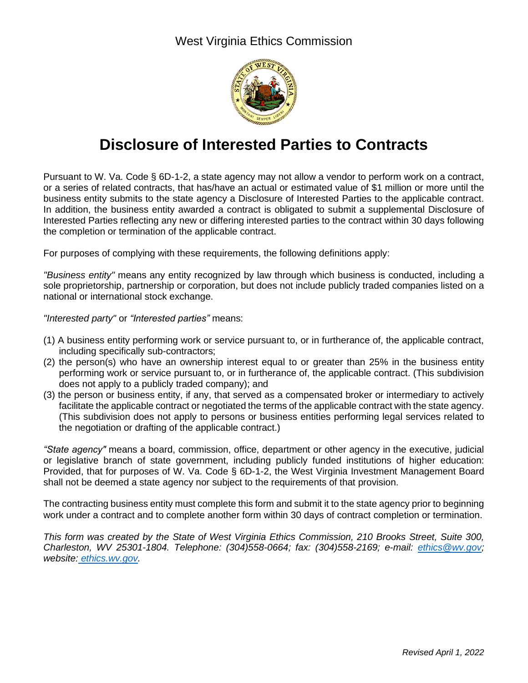West Virginia Ethics Commission



## **Disclosure of Interested Parties to Contracts**

Pursuant to W. Va. Code § 6D-1-2, a state agency may not allow a vendor to perform work on a contract, or a series of related contracts, that has/have an actual or estimated value of \$1 million or more until the business entity submits to the state agency a Disclosure of Interested Parties to the applicable contract. In addition, the business entity awarded a contract is obligated to submit a supplemental Disclosure of Interested Parties reflecting any new or differing interested parties to the contract within 30 days following the completion or termination of the applicable contract.

For purposes of complying with these requirements, the following definitions apply:

*"Business entity"* means any entity recognized by law through which business is conducted, including a sole proprietorship, partnership or corporation, but does not include publicly traded companies listed on a national or international stock exchange.

*"Interested party"* or *"Interested parties"* means:

- (1) A business entity performing work or service pursuant to, or in furtherance of, the applicable contract, including specifically sub-contractors;
- (2) the person(s) who have an ownership interest equal to or greater than 25% in the business entity performing work or service pursuant to, or in furtherance of, the applicable contract. (This subdivision does not apply to a publicly traded company); and
- (3) the person or business entity, if any, that served as a compensated broker or intermediary to actively facilitate the applicable contract or negotiated the terms of the applicable contract with the state agency. (This subdivision does not apply to persons or business entities performing legal services related to the negotiation or drafting of the applicable contract.)

*"State agency"* means a board, commission, office, department or other agency in the executive, judicial or legislative branch of state government, including publicly funded institutions of higher education: Provided, that for purposes of W. Va. Code § 6D-1-2, the West Virginia Investment Management Board shall not be deemed a state agency nor subject to the requirements of that provision.

The contracting business entity must complete this form and submit it to the state agency prior to beginning work under a contract and to complete another form within 30 days of contract completion or termination.

*This form was created by the State of West Virginia Ethics Commission, 210 Brooks Street, Suite 300, Charleston, WV 25301-1804. Telephone: (304)558-0664; fax: (304)558-2169; e-mail: [ethics@wv.gov;](mailto:ethics@wv.gov) website: ethics.wv.gov.*